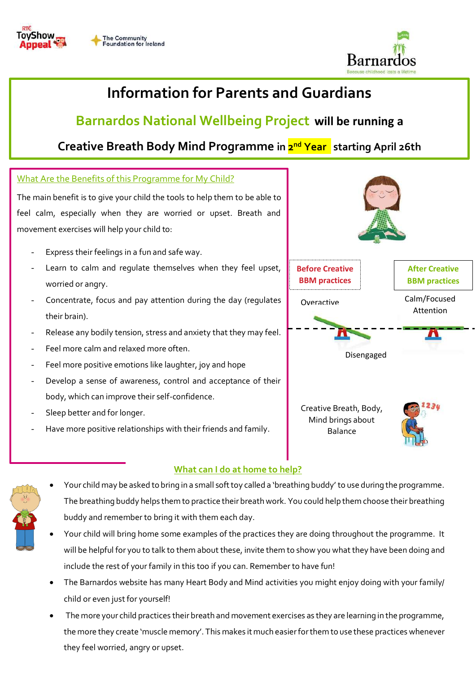



# **Information for Parents and Guardians**

## **Barnardos National Wellbeing Project will be running a**

## **Creative Breath Body Mind Programme in 2 nd Year starting April 26th**

### What Are the Benefits of this Programme for My Child?

The main benefit is to give your child the tools to help them to be able to feel calm, especially when they are worried or upset. Breath and movement exercises will help your child to:

- Express their feelings in a fun and safe way.
- Learn to calm and regulate themselves when they feel upset, worried or angry.
- Concentrate, focus and pay attention during the day (regulates their brain).
- Release any bodily tension, stress and anxiety that they may feel.
- Feel more calm and relaxed more often.
- Feel more positive emotions like laughter, joy and hope
- Develop a sense of awareness, control and acceptance of their body, which can improve their self-confidence.
- Sleep better and for longer.
- Have more positive relationships with their friends and family.



Creative Breath, Body, Mind brings about Balance



### **What can I do at home to help?**

- 
- Your child may be asked to bring in a small soft toy called a 'breathing buddy' to use during the programme. The breathing buddy helps them to practice their breath work. You could help them choose their breathing buddy and remember to bring it with them each day.
	- Your child will bring home some examples of the practices they are doing throughout the programme. It will be helpful for you to talk to them about these, invite them to show you what they have been doing and include the rest of your family in this too if you can. Remember to have fun!
	- The Barnardos website has many Heart Body and Mind activities you might enjoy doing with your family/ child or even just for yourself!
	- The more your child practices their breath and movement exercises as they are learning in the programme, the more they create 'muscle memory'. This makes it much easier for them to use these practices whenever they feel worried, angry or upset.